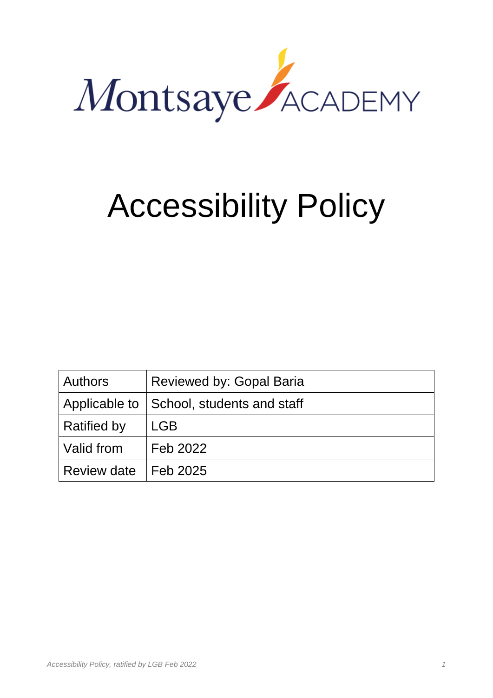

# Accessibility Policy

| <b>Authors</b>     | Reviewed by: Gopal Baria                   |
|--------------------|--------------------------------------------|
|                    | Applicable to   School, students and staff |
| <b>Ratified by</b> | <b>LGB</b>                                 |
| Valid from         | Feb 2022                                   |
| <b>Review date</b> | Feb 2025                                   |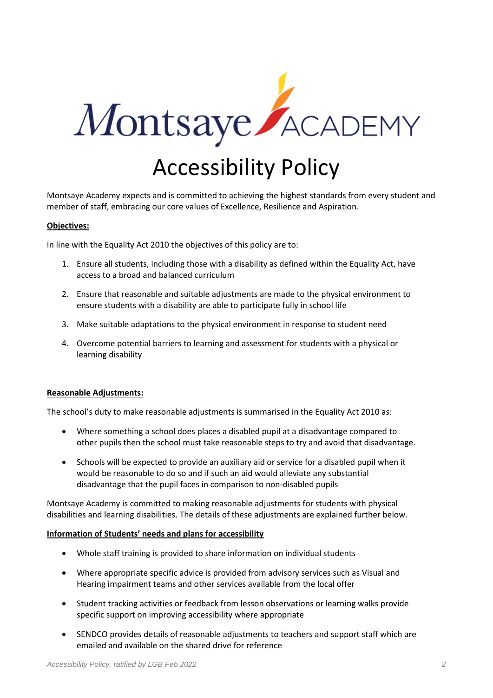

Montsaye Academy expects and is committed to achieving the highest standards from every student and member of staff, embracing our core values of Excellence, Resilience and Aspiration.

### **Objectives:**

In line with the Equality Act 2010 the objectives of this policy are to:

- 1. Ensure all students, including those with a disability as defined within the Equality Act, have access to a broad and balanced curriculum
- 2. Ensure that reasonable and suitable adjustments are made to the physical environment to ensure students with a disability are able to participate fully in school life
- 3. Make suitable adaptations to the physical environment in response to student need
- 4. Overcome potential barriers to learning and assessment for students with a physical or learning disability

#### **Reasonable Adjustments:**

The school's duty to make reasonable adjustments is summarised in the Equality Act 2010 as:

- Where something a school does places a disabled pupil at a disadvantage compared to other pupils then the school must take reasonable steps to try and avoid that disadvantage.
- Schools will be expected to provide an auxiliary aid or service for a disabled pupil when it would be reasonable to do so and if such an aid would alleviate any substantial disadvantage that the pupil faces in comparison to non-disabled pupils

Montsaye Academy is committed to making reasonable adjustments for students with physical disabilities and learning disabilities. The details of these adjustments are explained further below.

#### **Information of Students' needs and plans for accessibility**

- Whole staff training is provided to share information on individual students
- Where appropriate specific advice is provided from advisory services such as Visual and Hearing impairment teams and other services available from the local offer
- Student tracking activities or feedback from lesson observations or learning walks provide specific support on improving accessibility where appropriate
- SENDCO provides details of reasonable adjustments to teachers and support staff which are emailed and available on the shared drive for reference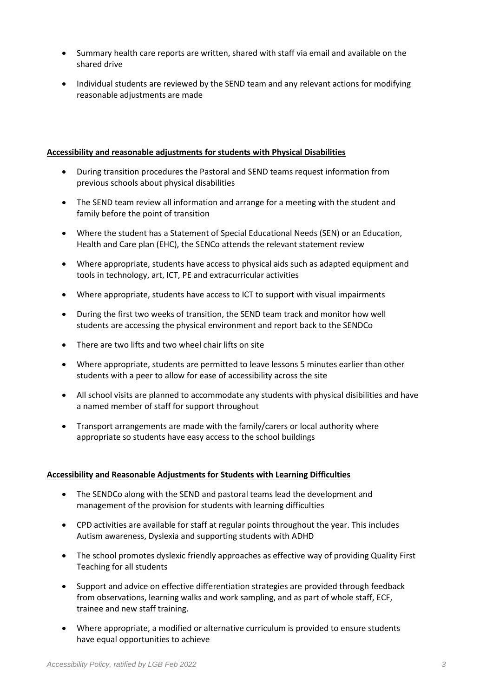- Summary health care reports are written, shared with staff via email and available on the shared drive
- Individual students are reviewed by the SEND team and any relevant actions for modifying reasonable adjustments are made

## **Accessibility and reasonable adjustments for students with Physical Disabilities**

- During transition procedures the Pastoral and SEND teams request information from previous schools about physical disabilities
- The SEND team review all information and arrange for a meeting with the student and family before the point of transition
- Where the student has a Statement of Special Educational Needs (SEN) or an Education, Health and Care plan (EHC), the SENCo attends the relevant statement review
- Where appropriate, students have access to physical aids such as adapted equipment and tools in technology, art, ICT, PE and extracurricular activities
- Where appropriate, students have access to ICT to support with visual impairments
- During the first two weeks of transition, the SEND team track and monitor how well students are accessing the physical environment and report back to the SENDCo
- There are two lifts and two wheel chair lifts on site
- Where appropriate, students are permitted to leave lessons 5 minutes earlier than other students with a peer to allow for ease of accessibility across the site
- All school visits are planned to accommodate any students with physical disibilities and have a named member of staff for support throughout
- Transport arrangements are made with the family/carers or local authority where appropriate so students have easy access to the school buildings

# **Accessibility and Reasonable Adjustments for Students with Learning Difficulties**

- The SENDCo along with the SEND and pastoral teams lead the development and management of the provision for students with learning difficulties
- CPD activities are available for staff at regular points throughout the year. This includes Autism awareness, Dyslexia and supporting students with ADHD
- The school promotes dyslexic friendly approaches as effective way of providing Quality First Teaching for all students
- Support and advice on effective differentiation strategies are provided through feedback from observations, learning walks and work sampling, and as part of whole staff, ECF, trainee and new staff training.
- Where appropriate, a modified or alternative curriculum is provided to ensure students have equal opportunities to achieve